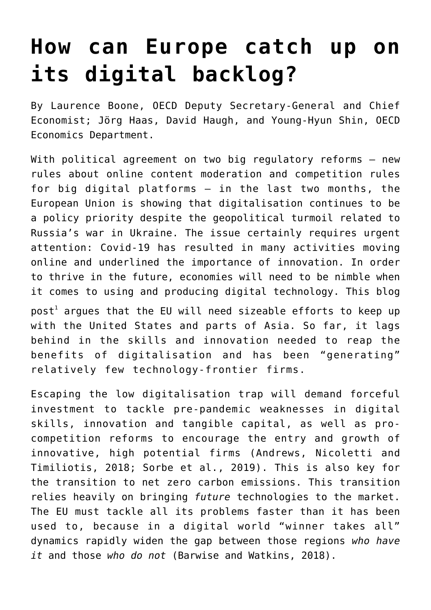# **[How can Europe catch up on](https://oecdecoscope.blog/2022/05/17/how-can-europe-catch-up-on-its-digital-backlog/) [its digital backlog?](https://oecdecoscope.blog/2022/05/17/how-can-europe-catch-up-on-its-digital-backlog/)**

By Laurence Boone, OECD Deputy Secretary-General and Chief Economist; Jörg Haas, David Haugh, and Young-Hyun Shin, OECD Economics Department.

With political agreement on two big regulatory reforms - new [rules about online content moderation](https://ec.europa.eu/commission/presscorner/detail/en/IP_22_2545) and [competition rules](https://ec.europa.eu/commission/presscorner/detail/en/IP_22_1978) [for big digital platforms](https://ec.europa.eu/commission/presscorner/detail/en/IP_22_1978) – in the last two months, the European Union is showing that digitalisation continues to be a policy priority despite the geopolitical turmoil related to Russia's war in Ukraine. The issue certainly requires urgent attention: Covid-19 has resulted in many activities moving online and underlined the importance of innovation. In order to thrive in the future, economies will need to be nimble when it comes to using and producing digital technology. This blog  $\mathsf{post}^1$  $\mathsf{post}^1$  argues that the EU will need sizeable efforts to keep up

with the United States and parts of Asia. So far, it lags behind in the skills and innovation needed to reap the benefits of digitalisation and has been "generating" relatively few technology-frontier firms.

Escaping the low digitalisation trap will demand forceful investment to tackle pre-pandemic weaknesses in digital skills, innovation and tangible capital, as well as procompetition reforms to encourage the entry and growth of innovative, high potential firms (Andrews, Nicoletti and Timiliotis, 2018; Sorbe et al., 2019). This is also key for the transition to net zero carbon emissions. This transition relies heavily on bringing *future* technologies to the market. The EU must tackle all its problems faster than it has been used to, because in a digital world "winner takes all" dynamics rapidly widen the gap between those regions *who have it* and those *who do not* (Barwise and Watkins, 2018).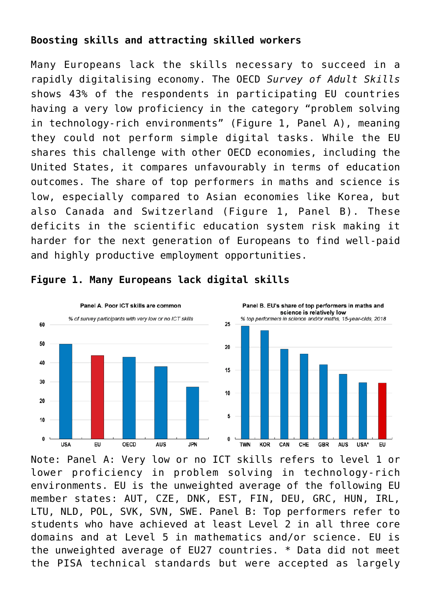## **Boosting skills and attracting skilled workers**

Many Europeans lack the skills necessary to succeed in a rapidly digitalising economy. The OECD *Survey of Adult Skills* shows 43% of the respondents in participating EU countries having a very low proficiency in the category "problem solving in technology-rich environments" (Figure 1, Panel A), meaning they could not perform simple digital tasks. While the EU shares this challenge with other OECD economies, including the United States, it compares unfavourably in terms of education outcomes. The share of top performers in maths and science is low, especially compared to Asian economies like Korea, but also Canada and Switzerland (Figure 1, Panel B). These deficits in the scientific education system risk making it harder for the next generation of Europeans to find well-paid and highly productive employment opportunities.



### **Figure 1. Many Europeans lack digital skills**

Note: Panel A: Very low or no ICT skills refers to level 1 or lower proficiency in problem solving in technology-rich environments. EU is the unweighted average of the following EU member states: AUT, CZE, DNK, EST, FIN, DEU, GRC, HUN, IRL, LTU, NLD, POL, SVK, SVN, SWE. Panel B: Top performers refer to students who have achieved at least Level 2 in all three core domains and at Level 5 in mathematics and/or science. EU is the unweighted average of EU27 countries. \* Data did not meet the PISA technical standards but were accepted as largely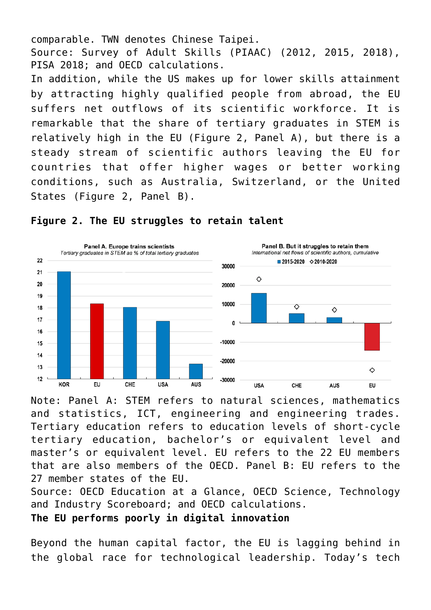comparable. TWN denotes Chinese Taipei. Source: Survey of Adult Skills (PIAAC) (2012, 2015, 2018), PISA 2018; and OECD calculations.

In addition, while the US makes up for lower skills attainment by attracting highly qualified people from abroad, the EU suffers net outflows of its scientific workforce. It is remarkable that the share of tertiary graduates in STEM is relatively high in the EU (Figure 2, Panel A), but there is a steady stream of scientific authors leaving the EU for countries that offer higher wages or better working conditions, such as Australia, Switzerland, or the United States (Figure 2, Panel B).



#### **Figure 2. The EU struggles to retain talent**

Note: Panel A: STEM refers to natural sciences, mathematics and statistics, ICT, engineering and engineering trades. Tertiary education refers to education levels of short-cycle tertiary education, bachelor's or equivalent level and master's or equivalent level. EU refers to the 22 EU members that are also members of the OECD. Panel B: EU refers to the 27 member states of the EU.

Source: OECD Education at a Glance, OECD Science, Technology and Industry Scoreboard; and OECD calculations.

**The EU performs poorly in digital innovation**

Beyond the human capital factor, the EU is lagging behind in the global race for technological leadership. Today's tech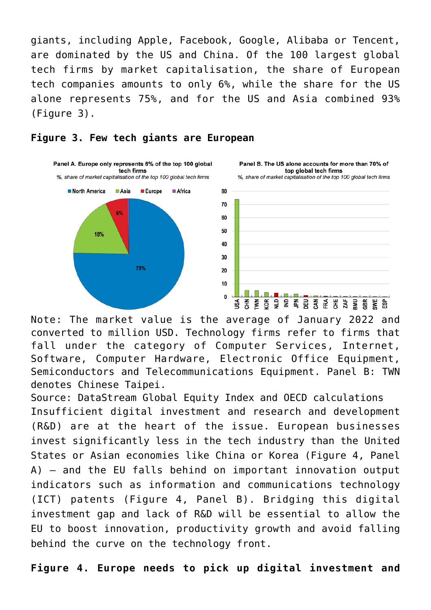giants, including Apple, Facebook, Google, Alibaba or Tencent, are dominated by the US and China. Of the 100 largest global tech firms by market capitalisation, the share of European tech companies amounts to only 6%, while the share for the US alone represents 75%, and for the US and Asia combined 93% (Figure 3).





Panel B. The US alone accounts for more than 70% of top global tech firms %, share of market capitalisation of the top 100 global tech firms



Note: The market value is the average of January 2022 and converted to million USD. Technology firms refer to firms that fall under the category of Computer Services, Internet, Software, Computer Hardware, Electronic Office Equipment, Semiconductors and Telecommunications Equipment. Panel B: TWN denotes Chinese Taipei.

Source: DataStream Global Equity Index and OECD calculations Insufficient digital investment and research and development (R&D) are at the heart of the issue. European businesses invest significantly less in the tech industry than the United States or Asian economies like China or Korea (Figure 4, Panel A) – and the EU falls behind on important innovation output indicators such as information and communications technology (ICT) patents (Figure 4, Panel B). Bridging this digital investment gap and lack of R&D will be essential to allow the EU to boost innovation, productivity growth and avoid falling behind the curve on the technology front.

**Figure 4. Europe needs to pick up digital investment and**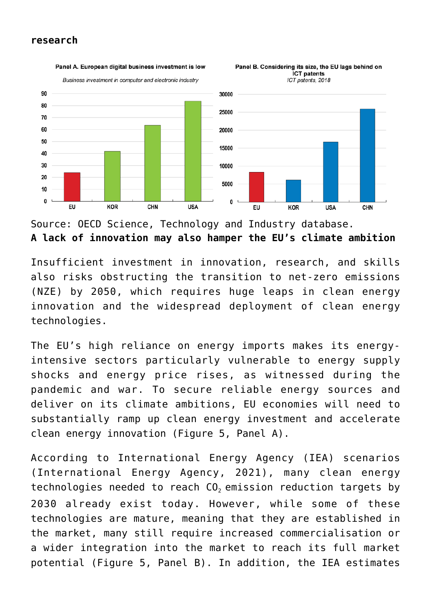#### **research**



Panel A. European digital business investment is low Panel B. Considering its size, the EU lags behind on

Source: OECD Science, Technology and Industry database. **A lack of innovation may also hamper the EU's climate ambition**

Insufficient investment in innovation, research, and skills also risks obstructing the transition to net-zero emissions (NZE) by 2050, which requires huge leaps in clean energy innovation and the widespread deployment of clean energy technologies.

The EU's high reliance on energy imports makes its energyintensive sectors particularly vulnerable to energy supply shocks and energy price rises, as witnessed during the pandemic and war. To secure reliable energy sources and deliver on its climate ambitions, EU economies will need to substantially ramp up clean energy investment and accelerate clean energy innovation (Figure 5, Panel A).

According to International Energy Agency (IEA) scenarios (International Energy Agency, 2021), many clean energy technologies needed to reach CO<sub>2</sub> emission reduction targets by 2030 already exist today. However, while some of these technologies are mature, meaning that they are established in the market, many still require increased commercialisation or a wider integration into the market to reach its full market potential (Figure 5, Panel B). In addition, the IEA estimates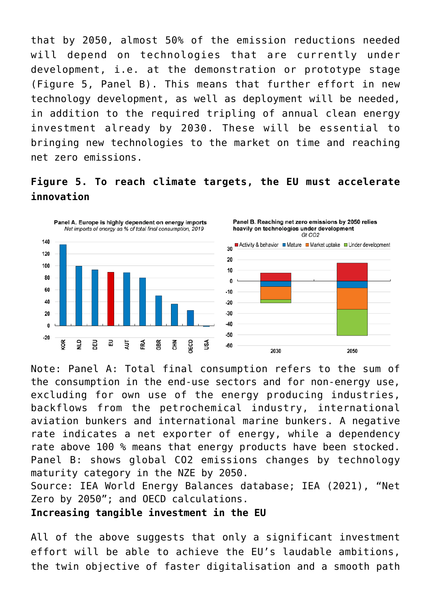that by 2050, almost 50% of the emission reductions needed will depend on technologies that are currently under development, i.e. at the demonstration or prototype stage (Figure 5, Panel B). This means that further effort in new technology development, as well as deployment will be needed, in addition to the required tripling of annual clean energy investment already by 2030. These will be essential to bringing new technologies to the market on time and reaching net zero emissions.





Note: Panel A: Total final consumption refers to the sum of the consumption in the end-use sectors and for non-energy use, excluding for own use of the energy producing industries, backflows from the petrochemical industry, international aviation bunkers and international marine bunkers. A negative rate indicates a net exporter of energy, while a dependency rate above 100 % means that energy products have been stocked. Panel B: shows global CO2 emissions changes by technology maturity category in the NZE by 2050.

Source: IEA World Energy Balances database; IEA (2021), "Net Zero by 2050"; and OECD calculations.

**Increasing tangible investment in the EU**

All of the above suggests that only a significant investment effort will be able to achieve the EU's laudable ambitions, the twin objective of faster digitalisation and a smooth path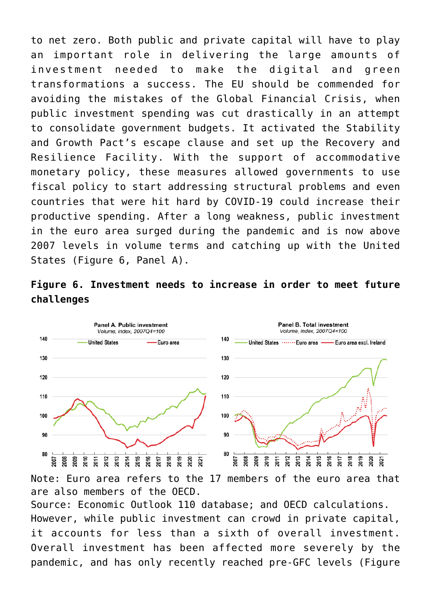to net zero. Both public and private capital will have to play an important role in delivering the large amounts of investment needed to make the digital and green transformations a success. The EU should be commended for avoiding the mistakes of the Global Financial Crisis, when public investment spending was cut drastically in an attempt to consolidate government budgets. It activated the Stability and Growth Pact's escape clause and set up the Recovery and Resilience Facility. With the support of accommodative monetary policy, these measures allowed governments to use fiscal policy to start addressing structural problems and even countries that were hit hard by COVID-19 could increase their productive spending. After a long weakness, public investment in the euro area surged during the pandemic and is now above 2007 levels in volume terms and catching up with the United States (Figure 6, Panel A).





Note: Euro area refers to the 17 members of the euro area that are also members of the OECD.

Source: Economic Outlook 110 database; and OECD calculations. However, while public investment can crowd in private capital, it accounts for less than a sixth of overall investment. Overall investment has been affected more severely by the pandemic, and has only recently reached pre-GFC levels (Figure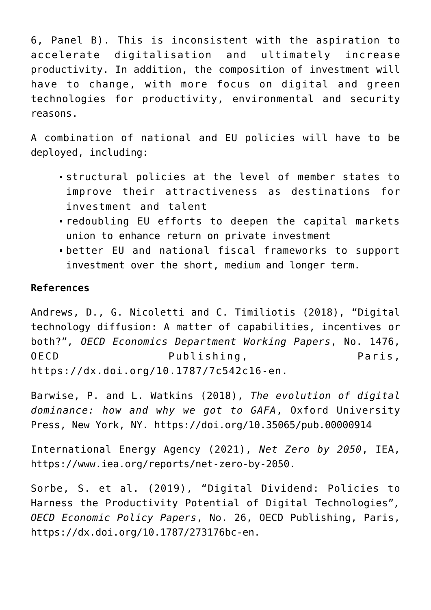6, Panel B). This is inconsistent with the aspiration to accelerate digitalisation and ultimately increase productivity. In addition, the composition of investment will have to change, with more focus on digital and green technologies for productivity, environmental and security reasons.

A combination of national and EU policies will have to be deployed, including:

- structural policies at the level of member states to improve their attractiveness as destinations for investment and talent
- redoubling EU efforts to deepen the capital markets union to enhance return on private investment
- better EU and national fiscal frameworks to support investment over the short, medium and longer term.

#### **References**

Andrews, D., G. Nicoletti and C. Timiliotis (2018), "Digital technology diffusion: A matter of capabilities, incentives or both?"*, OECD Economics Department Working Papers*, No. 1476, OECD Publishing, Paris, <https://dx.doi.org/10.1787/7c542c16-en.>

Barwise, P. and L. Watkins (2018), *The evolution of digital dominance: how and why we got to GAFA*, Oxford University Press, New York, NY.<https://doi.org/10.35065/pub.00000914>

International Energy Agency (2021), *Net Zero by 2050*, IEA, <https://www.iea.org/reports/net-zero-by-2050>.

Sorbe, S. et al. (2019), "Digital Dividend: Policies to Harness the Productivity Potential of Digital Technologies"*, OECD Economic Policy Papers*, No. 26, OECD Publishing, Paris, <https://dx.doi.org/10.1787/273176bc-en>.